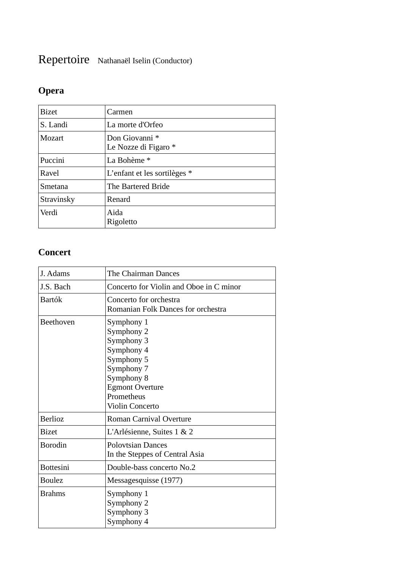## Repertoire Nathanaël Iselin (Conductor)

## **Opera**

| <b>Bizet</b> | Carmen                                 |
|--------------|----------------------------------------|
| S. Landi     | La morte d'Orfeo                       |
| Mozart       | Don Giovanni *<br>Le Nozze di Figaro * |
| Puccini      | La Bohème *                            |
| Ravel        | L'enfant et les sortilèges *           |
| Smetana      | The Bartered Bride                     |
| Stravinsky   | Renard                                 |
| Verdi        | Aida<br>Rigoletto                      |

## **Concert**

| J. Adams         | The Chairman Dances                                                                                                                                              |
|------------------|------------------------------------------------------------------------------------------------------------------------------------------------------------------|
| J.S. Bach        | Concerto for Violin and Oboe in C minor                                                                                                                          |
| <b>Bartók</b>    | Concerto for orchestra<br>Romanian Folk Dances for orchestra                                                                                                     |
| <b>Beethoven</b> | Symphony 1<br>Symphony 2<br>Symphony 3<br>Symphony 4<br>Symphony 5<br>Symphony 7<br>Symphony 8<br><b>Egmont Overture</b><br>Prometheus<br><b>Violin Concerto</b> |
| <b>Berlioz</b>   | Roman Carnival Overture                                                                                                                                          |
| <b>Bizet</b>     | L'Arlésienne, Suites 1 & 2                                                                                                                                       |
| <b>Borodin</b>   | <b>Polovtsian Dances</b><br>In the Steppes of Central Asia                                                                                                       |
| <b>Bottesini</b> | Double-bass concerto No.2                                                                                                                                        |
| <b>Boulez</b>    | Messagesquisse (1977)                                                                                                                                            |
| <b>Brahms</b>    | Symphony 1<br>Symphony 2<br>Symphony 3<br>Symphony 4                                                                                                             |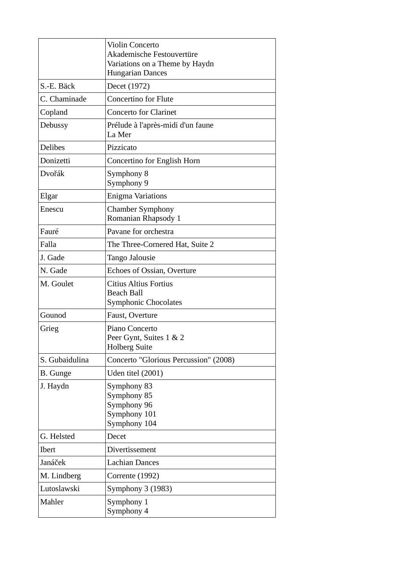|                 | <b>Violin Concerto</b><br>Akademische Festouvertüre<br>Variations on a Theme by Haydn<br><b>Hungarian Dances</b> |
|-----------------|------------------------------------------------------------------------------------------------------------------|
| S.-E. Bäck      | Decet (1972)                                                                                                     |
| C. Chaminade    | <b>Concertino for Flute</b>                                                                                      |
| Copland         | <b>Concerto for Clarinet</b>                                                                                     |
| Debussy         | Prélude à l'après-midi d'un faune<br>La Mer                                                                      |
| <b>Delibes</b>  | Pizzicato                                                                                                        |
| Donizetti       | Concertino for English Horn                                                                                      |
| Dvořák          | Symphony 8<br>Symphony 9                                                                                         |
| Elgar           | <b>Enigma Variations</b>                                                                                         |
| Enescu          | <b>Chamber Symphony</b><br>Romanian Rhapsody 1                                                                   |
| Fauré           | Pavane for orchestra                                                                                             |
| Falla           | The Three-Cornered Hat, Suite 2                                                                                  |
| J. Gade         | Tango Jalousie                                                                                                   |
| N. Gade         | Echoes of Ossian, Overture                                                                                       |
| M. Goulet       | <b>Citius Altius Fortius</b><br><b>Beach Ball</b><br><b>Symphonic Chocolates</b>                                 |
| Gounod          | Faust, Overture                                                                                                  |
| Grieg           | Piano Concerto<br>Peer Gynt, Suites 1 & 2<br><b>Holberg Suite</b>                                                |
| S. Gubaidulina  | Concerto "Glorious Percussion" (2008)                                                                            |
| <b>B.</b> Gunge | Uden titel (2001)                                                                                                |
| J. Haydn        | Symphony 83<br>Symphony 85<br>Symphony 96<br>Symphony 101<br>Symphony 104                                        |
| G. Helsted      | Decet                                                                                                            |
| Ibert           | Divertissement                                                                                                   |
| Janáček         | <b>Lachian Dances</b>                                                                                            |
| M. Lindberg     | Corrente (1992)                                                                                                  |
| Lutoslawski     | Symphony 3 (1983)                                                                                                |
| Mahler          | Symphony 1<br>Symphony 4                                                                                         |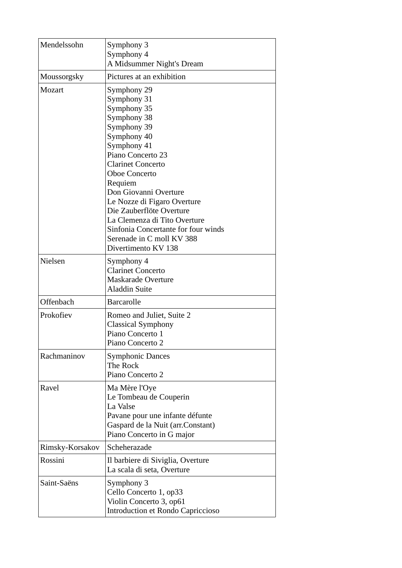| Mendelssohn     | Symphony 3<br>Symphony 4<br>A Midsummer Night's Dream                                                                                                                                                                                                                                                                                                                                                    |
|-----------------|----------------------------------------------------------------------------------------------------------------------------------------------------------------------------------------------------------------------------------------------------------------------------------------------------------------------------------------------------------------------------------------------------------|
| Moussorgsky     | Pictures at an exhibition                                                                                                                                                                                                                                                                                                                                                                                |
| Mozart          | Symphony 29<br>Symphony 31<br>Symphony 35<br>Symphony 38<br>Symphony 39<br>Symphony 40<br>Symphony 41<br>Piano Concerto 23<br><b>Clarinet Concerto</b><br><b>Oboe Concerto</b><br>Requiem<br>Don Giovanni Overture<br>Le Nozze di Figaro Overture<br>Die Zauberflöte Overture<br>La Clemenza di Tito Overture<br>Sinfonia Concertante for four winds<br>Serenade in C moll KV 388<br>Divertimento KV 138 |
| Nielsen         | Symphony 4<br><b>Clarinet Concerto</b><br><b>Maskarade Overture</b><br><b>Aladdin Suite</b>                                                                                                                                                                                                                                                                                                              |
| Offenbach       | <b>Barcarolle</b>                                                                                                                                                                                                                                                                                                                                                                                        |
| Prokofiev       | Romeo and Juliet, Suite 2<br><b>Classical Symphony</b><br>Piano Concerto 1<br>Piano Concerto 2                                                                                                                                                                                                                                                                                                           |
| Rachmaninov     | <b>Symphonic Dances</b><br>The Rock<br>Piano Concerto 2                                                                                                                                                                                                                                                                                                                                                  |
| Ravel           | Ma Mère l'Oye<br>Le Tombeau de Couperin<br>La Valse<br>Pavane pour une infante défunte<br>Gaspard de la Nuit (arr.Constant)<br>Piano Concerto in G major                                                                                                                                                                                                                                                 |
| Rimsky-Korsakov | Scheherazade                                                                                                                                                                                                                                                                                                                                                                                             |
| Rossini         | Il barbiere di Siviglia, Overture<br>La scala di seta, Overture                                                                                                                                                                                                                                                                                                                                          |
| Saint-Saëns     | Symphony 3<br>Cello Concerto 1, op33<br>Violin Concerto 3, op61<br>Introduction et Rondo Capriccioso                                                                                                                                                                                                                                                                                                     |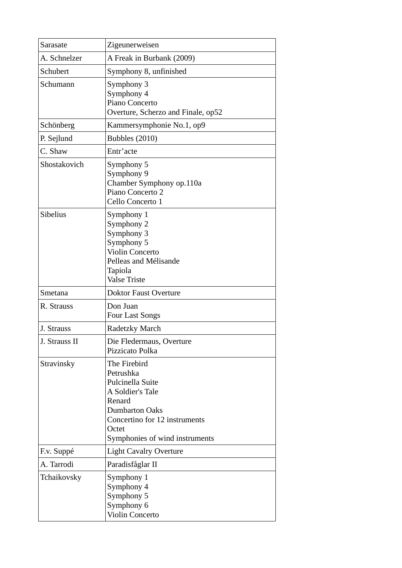| Sarasate        | Zigeunerweisen                                                                                                                                                                   |
|-----------------|----------------------------------------------------------------------------------------------------------------------------------------------------------------------------------|
| A. Schnelzer    | A Freak in Burbank (2009)                                                                                                                                                        |
| Schubert        | Symphony 8, unfinished                                                                                                                                                           |
| Schumann        | Symphony 3<br>Symphony 4<br>Piano Concerto<br>Overture, Scherzo and Finale, op52                                                                                                 |
| Schönberg       | Kammersymphonie No.1, op9                                                                                                                                                        |
| P. Sejlund      | <b>Bubbles (2010)</b>                                                                                                                                                            |
| C. Shaw         | Entr'acte                                                                                                                                                                        |
| Shostakovich    | Symphony 5<br>Symphony 9<br>Chamber Symphony op.110a<br>Piano Concerto 2<br>Cello Concerto 1                                                                                     |
| <b>Sibelius</b> | Symphony 1<br>Symphony 2<br>Symphony 3<br>Symphony 5<br><b>Violin Concerto</b><br>Pelleas and Mélisande<br>Tapiola<br><b>Valse Triste</b>                                        |
| Smetana         | <b>Doktor Faust Overture</b>                                                                                                                                                     |
| R. Strauss      | Don Juan<br><b>Four Last Songs</b>                                                                                                                                               |
| J. Strauss      | Radetzky March                                                                                                                                                                   |
| J. Strauss II   | Die Fledermaus, Overture<br>Pizzicato Polka                                                                                                                                      |
| Stravinsky      | The Firebird<br>Petrushka<br>Pulcinella Suite<br>A Soldier's Tale<br>Renard<br><b>Dumbarton Oaks</b><br>Concertino for 12 instruments<br>Octet<br>Symphonies of wind instruments |
| F.v. Suppé      | <b>Light Cavalry Overture</b>                                                                                                                                                    |
| A. Tarrodi      | Paradisfåglar II                                                                                                                                                                 |
| Tchaikovsky     | Symphony 1<br>Symphony 4<br>Symphony 5<br>Symphony 6<br>Violin Concerto                                                                                                          |